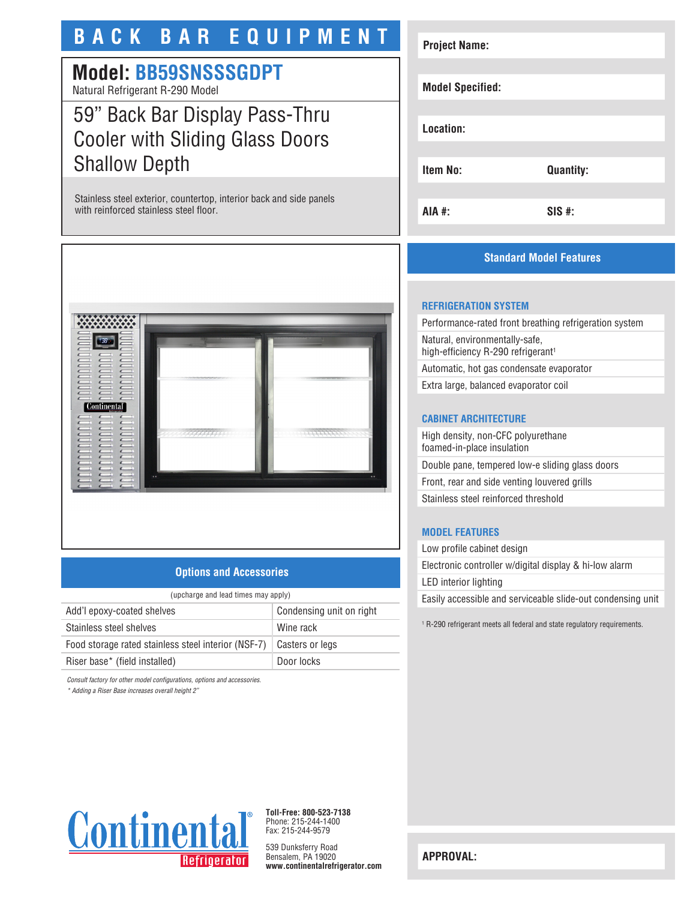# **BACK BAR EQUIPMENT**

# **Model: BB59SNSSSGDPT**

Natural Refrigerant R-290 Model

# 59" Back Bar Display Pass-Thru Cooler with Sliding Glass Doors Shallow Depth

Stainless steel exterior, countertop, interior back and side panels with reinforced stainless steel floor.



### **Options and Accessories**

| (upcharge and lead times may apply)                 |                          |  |
|-----------------------------------------------------|--------------------------|--|
| Add'l epoxy-coated shelves                          | Condensing unit on right |  |
| Stainless steel shelves                             | Wine rack                |  |
| Food storage rated stainless steel interior (NSF-7) | Casters or legs          |  |
| Riser base* (field installed)                       | Door locks               |  |

*Consult factory for other model configurations, options and accessories.*

*\* Adding a Riser Base increases overall height 2"*

# **Project Name: Model Specified: Location: Item No: Quantity: AIA #: SIS #:**

## **Standard Model Features**

#### **REFRIGERATION SYSTEM**

Performance-rated front breathing refrigeration system Natural, environmentally-safe, high-efficiency R-290 refrigerant<sup>1</sup> Automatic, hot gas condensate evaporator

Extra large, balanced evaporator coil

### **CABINET ARCHITECTURE**

High density, non-CFC polyurethane foamed-in-place insulation Double pane, tempered low-e sliding glass doors Front, rear and side venting louvered grills Stainless steel reinforced threshold

## **MODEL FEATURES**

Low profile cabinet design Electronic controller w/digital display & hi-low alarm LED interior lighting Easily accessible and serviceable slide-out condensing unit

1 R-290 refrigerant meets all federal and state regulatory requirements.



**Toll-Free: 800-523-7138** Phone: 215-244-1400 Fax: 215-244-9579

539 Dunksferry Road Bensalem, PA 19020 **www.continentalrefrigerator.com** 

**APPROVAL:**